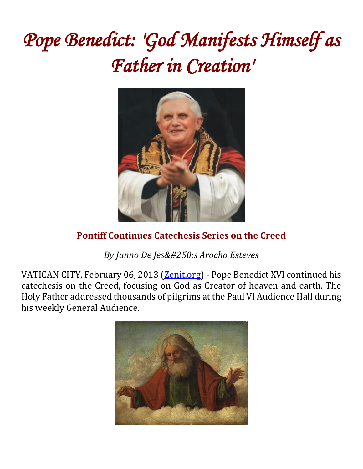# *Pope Benedict: 'God Manifests Himself as Father in Creation'*



# **Pontiff Continues Catechesis Series on the Creed**

**By Junno De Jesús Arocho Esteves** 

VATICAN CITY, February 06, 2013 [\(Zenit.org\)](http://www.zenit.org/) - Pope Benedict XVI continued his catechesis on the Creed, focusing on God as Creator of heaven and earth. The Holy Father addressed thousands of pilgrims at the Paul VI Audience Hall during his weekly General Audience.

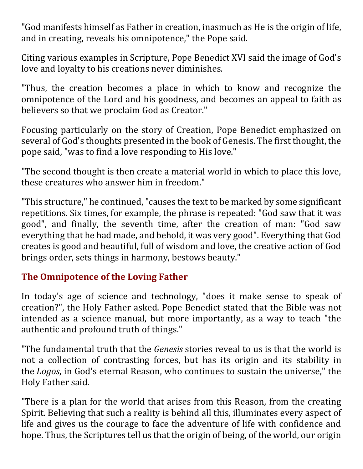"God manifests himself as Father in creation, inasmuch as He is the origin of life, and in creating, reveals his omnipotence," the Pope said.

Citing various examples in Scripture, Pope Benedict XVI said the image of God's love and loyalty to his creations never diminishes.

"Thus, the creation becomes a place in which to know and recognize the omnipotence of the Lord and his goodness, and becomes an appeal to faith as believers so that we proclaim God as Creator."

Focusing particularly on the story of Creation, Pope Benedict emphasized on several of God's thoughts presented in the book of Genesis. The first thought, the pope said, "was to find a love responding to His love."

"The second thought is then create a material world in which to place this love, these creatures who answer him in freedom."

"This structure," he continued, "causes the text to be marked by some significant repetitions. Six times, for example, the phrase is repeated: "God saw that it was good", and finally, the seventh time, after the creation of man: "God saw everything that he had made, and behold, it was very good". Everything that God creates is good and beautiful, full of wisdom and love, the creative action of God brings order, sets things in harmony, bestows beauty."

# **The Omnipotence of the Loving Father**

In today's age of science and technology, "does it make sense to speak of creation?", the Holy Father asked. Pope Benedict stated that the Bible was not intended as a science manual, but more importantly, as a way to teach "the authentic and profound truth of things."

"The fundamental truth that the *Genesis* stories reveal to us is that the world is not a collection of contrasting forces, but has its origin and its stability in the *Logos*, in God's eternal Reason, who continues to sustain the universe," the Holy Father said.

"There is a plan for the world that arises from this Reason, from the creating Spirit. Believing that such a reality is behind all this, illuminates every aspect of life and gives us the courage to face the adventure of life with confidence and hope. Thus, the Scriptures tell us that the origin of being, of the world, our origin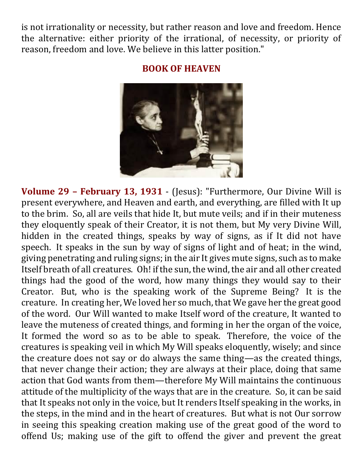is not irrationality or necessity, but rather reason and love and freedom. Hence the alternative: either priority of the irrational, of necessity, or priority of reason, freedom and love. We believe in this latter position."

#### **BOOK OF HEAVEN**



**Volume 29 – February 13, 1931** - (Jesus): "Furthermore, Our Divine Will is present everywhere, and Heaven and earth, and everything, are filled with It up to the brim. So, all are veils that hide It, but mute veils; and if in their muteness they eloquently speak of their Creator, it is not them, but My very Divine Will, hidden in the created things, speaks by way of signs, as if It did not have speech. It speaks in the sun by way of signs of light and of heat; in the wind, giving penetrating and ruling signs; in the air It gives mute signs, such as to make Itself breath of all creatures. Oh! if the sun, the wind, the air and all other created things had the good of the word, how many things they would say to their Creator. But, who is the speaking work of the Supreme Being? It is the creature. In creating her, We loved her so much, that We gave her the great good of the word. Our Will wanted to make Itself word of the creature, It wanted to leave the muteness of created things, and forming in her the organ of the voice, It formed the word so as to be able to speak. Therefore, the voice of the creatures is speaking veil in which My Will speaks eloquently, wisely; and since the creature does not say or do always the same thing—as the created things, that never change their action; they are always at their place, doing that same action that God wants from them—therefore My Will maintains the continuous attitude of the multiplicity of the ways that are in the creature. So, it can be said that It speaks not only in the voice, but It renders Itself speaking in the works, in the steps, in the mind and in the heart of creatures. But what is not Our sorrow in seeing this speaking creation making use of the great good of the word to offend Us; making use of the gift to offend the giver and prevent the great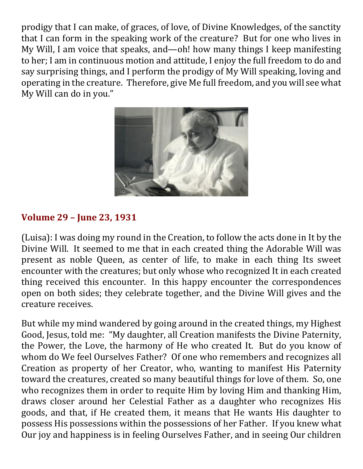prodigy that I can make, of graces, of love, of Divine Knowledges, of the sanctity that I can form in the speaking work of the creature? But for one who lives in My Will, I am voice that speaks, and—oh! how many things I keep manifesting to her; I am in continuous motion and attitude, I enjoy the full freedom to do and say surprising things, and I perform the prodigy of My Will speaking, loving and operating in the creature. Therefore, give Me full freedom, and you will see what My Will can do in you."



# **Volume 29 – June 23, 1931**

(Luisa): I was doing my round in the Creation, to follow the acts done in It by the Divine Will. It seemed to me that in each created thing the Adorable Will was present as noble Queen, as center of life, to make in each thing Its sweet encounter with the creatures; but only whose who recognized It in each created thing received this encounter. In this happy encounter the correspondences open on both sides; they celebrate together, and the Divine Will gives and the creature receives.

But while my mind wandered by going around in the created things, my Highest Good, Jesus, told me: "My daughter, all Creation manifests the Divine Paternity, the Power, the Love, the harmony of He who created It. But do you know of whom do We feel Ourselves Father? Of one who remembers and recognizes all Creation as property of her Creator, who, wanting to manifest His Paternity toward the creatures, created so many beautiful things for love of them. So, one who recognizes them in order to requite Him by loving Him and thanking Him, draws closer around her Celestial Father as a daughter who recognizes His goods, and that, if He created them, it means that He wants His daughter to possess His possessions within the possessions of her Father. If you knew what Our joy and happiness is in feeling Ourselves Father, and in seeing Our children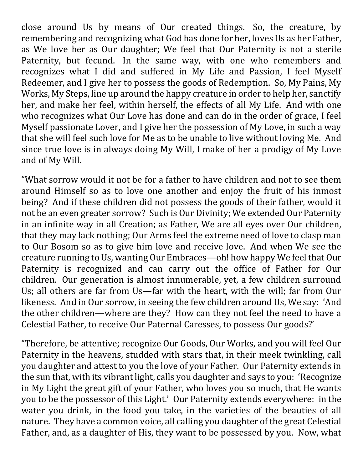close around Us by means of Our created things. So, the creature, by remembering and recognizing what God has done for her, loves Us as her Father, as We love her as Our daughter; We feel that Our Paternity is not a sterile Paternity, but fecund. In the same way, with one who remembers and recognizes what I did and suffered in My Life and Passion, I feel Myself Redeemer, and I give her to possess the goods of Redemption. So, My Pains, My Works, My Steps, line up around the happy creature in order to help her, sanctify her, and make her feel, within herself, the effects of all My Life. And with one who recognizes what Our Love has done and can do in the order of grace, I feel Myself passionate Lover, and I give her the possession of My Love, in such a way that she will feel such love for Me as to be unable to live without loving Me. And since true love is in always doing My Will, I make of her a prodigy of My Love and of My Will.

"What sorrow would it not be for a father to have children and not to see them around Himself so as to love one another and enjoy the fruit of his inmost being? And if these children did not possess the goods of their father, would it not be an even greater sorrow? Such is Our Divinity; We extended Our Paternity in an infinite way in all Creation; as Father, We are all eyes over Our children, that they may lack nothing; Our Arms feel the extreme need of love to clasp man to Our Bosom so as to give him love and receive love. And when We see the creature running to Us, wanting Our Embraces—oh! how happy We feel that Our Paternity is recognized and can carry out the office of Father for Our children. Our generation is almost innumerable, yet, a few children surround Us; all others are far from Us—far with the heart, with the will; far from Our likeness. And in Our sorrow, in seeing the few children around Us, We say: 'And the other children—where are they? How can they not feel the need to have a Celestial Father, to receive Our Paternal Caresses, to possess Our goods?'

"Therefore, be attentive; recognize Our Goods, Our Works, and you will feel Our Paternity in the heavens, studded with stars that, in their meek twinkling, call you daughter and attest to you the love of your Father. Our Paternity extends in the sun that, with its vibrant light, calls you daughter and says to you: 'Recognize in My Light the great gift of your Father, who loves you so much, that He wants you to be the possessor of this Light.' Our Paternity extends everywhere: in the water you drink, in the food you take, in the varieties of the beauties of all nature. They have a common voice, all calling you daughter of the great Celestial Father, and, as a daughter of His, they want to be possessed by you. Now, what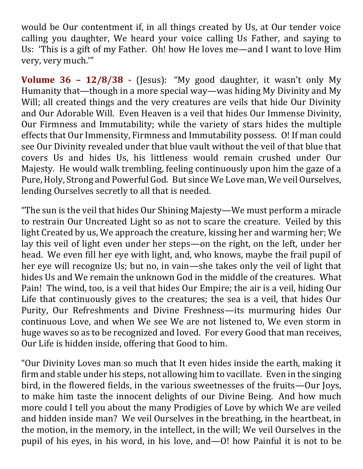would be Our contentment if, in all things created by Us, at Our tender voice calling you daughter, We heard your voice calling Us Father, and saying to Us: 'This is a gift of my Father. Oh! how He loves me—and I want to love Him very, very much.'"

**Volume 36 – 12/8/38 -** (Jesus): "My good daughter, it wasn't only My Humanity that—though in a more special way—was hiding My Divinity and My Will; all created things and the very creatures are veils that hide Our Divinity and Our Adorable Will. Even Heaven is a veil that hides Our Immense Divinity, Our Firmness and Immutability; while the variety of stars hides the multiple effects that Our Immensity, Firmness and Immutability possess. O! If man could see Our Divinity revealed under that blue vault without the veil of that blue that covers Us and hides Us, his littleness would remain crushed under Our Majesty. He would walk trembling, feeling continuously upon him the gaze of a Pure, Holy, Strong and Powerful God. But since We Love man, We veil Ourselves, lending Ourselves secretly to all that is needed.

"The sun is the veil that hides Our Shining Majesty—We must perform a miracle to restrain Our Uncreated Light so as not to scare the creature. Veiled by this light Created by us, We approach the creature, kissing her and warming her; We lay this veil of light even under her steps—on the right, on the left, under her head. We even fill her eye with light, and, who knows, maybe the frail pupil of her eye will recognize Us; but no, in vain—she takes only the veil of light that hides Us and We remain the unknown God in the middle of the creatures. What Pain! The wind, too, is a veil that hides Our Empire; the air is a veil, hiding Our Life that continuously gives to the creatures; the sea is a veil, that hides Our Purity, Our Refreshments and Divine Freshness—its murmuring hides Our continuous Love, and when We see We are not listened to, We even storm in huge waves so as to be recognized and loved. For every Good that man receives, Our Life is hidden inside, offering that Good to him.

"Our Divinity Loves man so much that It even hides inside the earth, making it firm and stable under his steps, not allowing him to vacillate. Even in the singing bird, in the flowered fields, in the various sweetnesses of the fruits—Our Joys, to make him taste the innocent delights of our Divine Being. And how much more could I tell you about the many Prodigies of Love by which We are veiled and hidden inside man? We veil Ourselves in the breathing, in the heartbeat, in the motion, in the memory, in the intellect, in the will; We veil Ourselves in the pupil of his eyes, in his word, in his love, and—O! how Painful it is not to be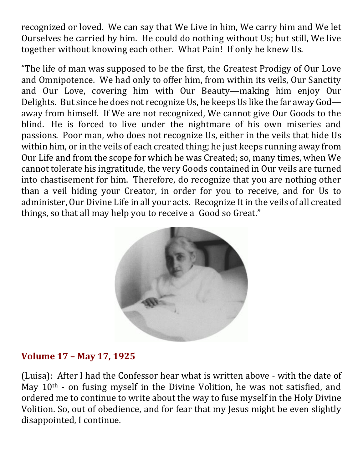recognized or loved. We can say that We Live in him, We carry him and We let Ourselves be carried by him. He could do nothing without Us; but still, We live together without knowing each other. What Pain! If only he knew Us.

"The life of man was supposed to be the first, the Greatest Prodigy of Our Love and Omnipotence. We had only to offer him, from within its veils, Our Sanctity and Our Love, covering him with Our Beauty—making him enjoy Our Delights. But since he does not recognize Us, he keeps Us like the far away God away from himself. If We are not recognized, We cannot give Our Goods to the blind. He is forced to live under the nightmare of his own miseries and passions. Poor man, who does not recognize Us, either in the veils that hide Us within him, or in the veils of each created thing; he just keeps running away from Our Life and from the scope for which he was Created; so, many times, when We cannot tolerate his ingratitude, the very Goods contained in Our veils are turned into chastisement for him. Therefore, do recognize that you are nothing other than a veil hiding your Creator, in order for you to receive, and for Us to administer, Our Divine Life in all your acts. Recognize It in the veils of all created things, so that all may help you to receive a Good so Great."



# **Volume 17 – May 17, 1925**

(Luisa): After I had the Confessor hear what is written above - with the date of May 10<sup>th</sup> - on fusing myself in the Divine Volition, he was not satisfied, and ordered me to continue to write about the way to fuse myself in the Holy Divine Volition. So, out of obedience, and for fear that my Jesus might be even slightly disappointed, I continue.